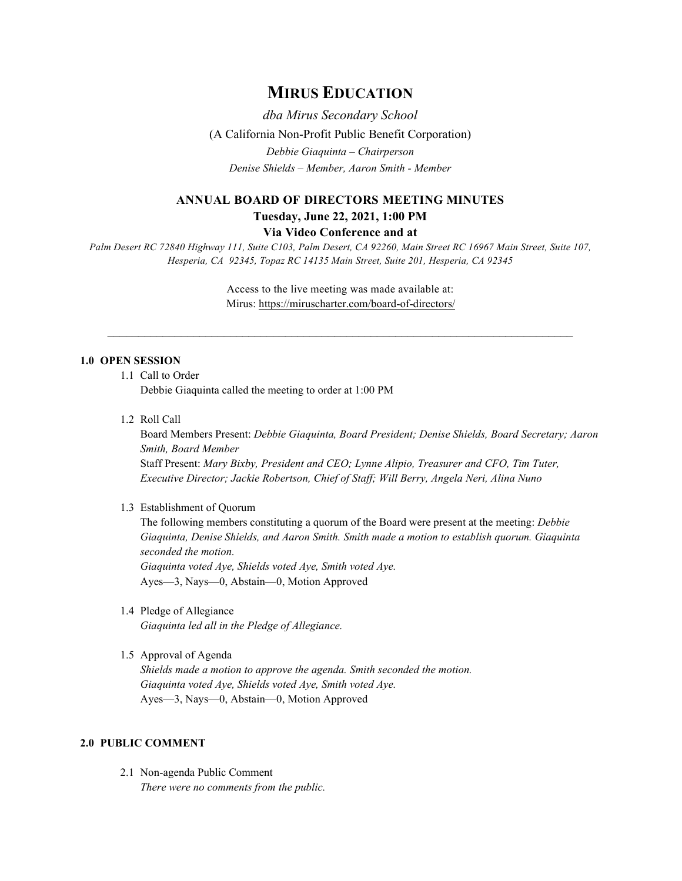# **MIRUS EDUCATION**

*dba Mirus Secondary School* (A California Non-Profit Public Benefit Corporation) *Debbie Giaquinta – Chairperson Denise Shields – Member, Aaron Smith - Member*

# **ANNUAL BOARD OF DIRECTORS MEETING MINUTES Tuesday, June 22, 2021, 1:00 PM**

#### **Via Video Conference and at**

*Palm Desert RC 72840 Highway 111, Suite C103, Palm Desert, CA 92260, Main Street RC 16967 Main Street, Suite 107, Hesperia, CA 92345, Topaz RC 14135 Main Street, Suite 201, Hesperia, CA 92345*

> Access to the live meeting was made available at: Mirus:<https://miruscharter.com/board-of-directors/>

 $\mathcal{L}_\text{max}$  , and the contribution of the contribution of the contribution of the contribution of the contribution of the contribution of the contribution of the contribution of the contribution of the contribution of t

# **1.0 OPEN SESSION**

1.1 Call to Order

Debbie Giaquinta called the meeting to order at 1:00 PM

1.2 Roll Call

Board Members Present: *Debbie Giaquinta, Board President; Denise Shields, Board Secretary; Aaron Smith, Board Member* Staff Present: *Mary Bixby, President and CEO; Lynne Alipio, Treasurer and CFO, Tim Tuter, Executive Director; Jackie Robertson, Chief of Staff; Will Berry, Angela Neri, Alina Nuno*

#### 1.3 Establishment of Quorum

The following members constituting a quorum of the Board were present at the meeting: *Debbie Giaquinta, Denise Shields, and Aaron Smith. Smith made a motion to establish quorum. Giaquinta seconded the motion. Giaquinta voted Aye, Shields voted Aye, Smith voted Aye.* Ayes—3, Nays—0, Abstain—0, Motion Approved

1.4 Pledge of Allegiance

*Giaquinta led all in the Pledge of Allegiance.*

# 1.5 Approval of Agenda

*Shields made a motion to approve the agenda. Smith seconded the motion. Giaquinta voted Aye, Shields voted Aye, Smith voted Aye.* Ayes—3, Nays—0, Abstain—0, Motion Approved

## **2.0 PUBLIC COMMENT**

2.1 Non-agenda Public Comment *There were no comments from the public.*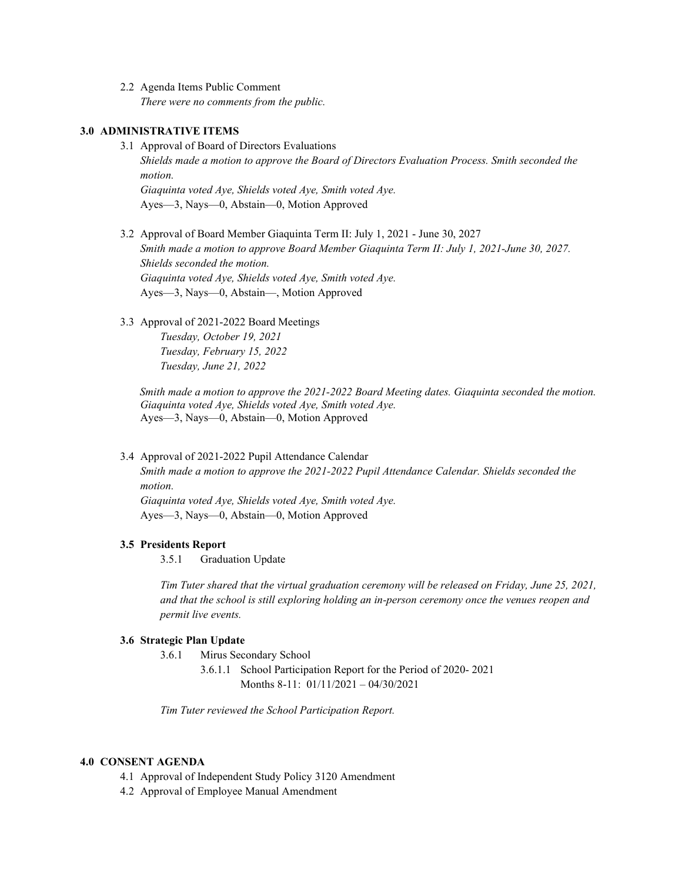2.2 Agenda Items Public Comment *There were no comments from the public.*

## **3.0 ADMINISTRATIVE ITEMS**

- 3.1 Approval of Board of Directors Evaluations *Shields made a motion to approve the Board of Directors Evaluation Process. Smith seconded the motion. Giaquinta voted Aye, Shields voted Aye, Smith voted Aye.* Ayes—3, Nays—0, Abstain—0, Motion Approved
- 3.2 Approval of Board Member Giaquinta Term II: July 1, 2021 June 30, 2027 *Smith made a motion to approve Board Member Giaquinta Term II: July 1, 2021-June 30, 2027. Shields seconded the motion. Giaquinta voted Aye, Shields voted Aye, Smith voted Aye.* Ayes—3, Nays—0, Abstain—, Motion Approved
- 3.3 Approval of 2021-2022 Board Meetings

*Tuesday, October 19, 2021 Tuesday, February 15, 2022 Tuesday, June 21, 2022*

 *Smith made a motion to approve the 2021-2022 Board Meeting dates. Giaquinta seconded the motion. Giaquinta voted Aye, Shields voted Aye, Smith voted Aye.* Ayes—3, Nays—0, Abstain—0, Motion Approved

3.4 Approval of 2021-2022 Pupil Attendance Calendar

*Smith made a motion to approve the 2021-2022 Pupil Attendance Calendar. Shields seconded the motion.*

*Giaquinta voted Aye, Shields voted Aye, Smith voted Aye.* Ayes—3, Nays—0, Abstain—0, Motion Approved

#### **3.5 Presidents Report**

3.5.1 Graduation Update

*Tim Tuter shared that the virtual graduation ceremony will be released on Friday, June 25, 2021, and that the school is still exploring holding an in-person ceremony once the venues reopen and permit live events.*

#### **3.6 Strategic Plan Update**

- 3.6.1 Mirus Secondary School
	- 3.6.1.1 School Participation Report for the Period of 2020- 2021 Months 8-11: 01/11/2021 – 04/30/2021

*Tim Tuter reviewed the School Participation Report.*

# **4.0 CONSENT AGENDA**

- 4.1 Approval of Independent Study Policy 3120 Amendment
- 4.2 Approval of Employee Manual Amendment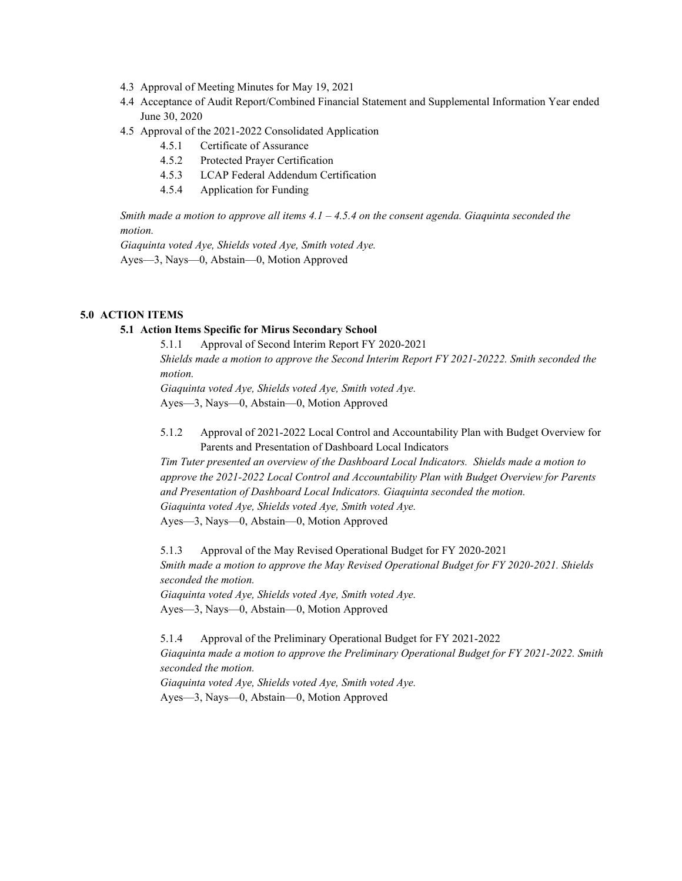- 4.3 Approval of Meeting Minutes for May 19, 2021
- 4.4 Acceptance of Audit Report/Combined Financial Statement and Supplemental Information Year ended June 30, 2020
- 4.5 Approval of the 2021-2022 Consolidated Application
	- 4.5.1 Certificate of Assurance
	- 4.5.2 Protected Prayer Certification
	- 4.5.3 LCAP Federal Addendum Certification
	- 4.5.4 Application for Funding

*Smith made a motion to approve all items 4.1 – 4.5.4 on the consent agenda. Giaquinta seconded the motion.*

*Giaquinta voted Aye, Shields voted Aye, Smith voted Aye.* Ayes—3, Nays—0, Abstain—0, Motion Approved

#### **5.0 ACTION ITEMS**

# **5.1 Action Items Specific for Mirus Secondary School**

5.1.1 Approval of Second Interim Report FY 2020-2021 *Shields made a motion to approve the Second Interim Report FY 2021-20222. Smith seconded the motion. Giaquinta voted Aye, Shields voted Aye, Smith voted Aye.* Ayes—3, Nays—0, Abstain—0, Motion Approved

5.1.2 Approval of 2021-2022 Local Control and Accountability Plan with Budget Overview for Parents and Presentation of Dashboard Local Indicators

*Tim Tuter presented an overview of the Dashboard Local Indicators. Shields made a motion to approve the 2021-2022 Local Control and Accountability Plan with Budget Overview for Parents and Presentation of Dashboard Local Indicators. Giaquinta seconded the motion. Giaquinta voted Aye, Shields voted Aye, Smith voted Aye.* Ayes—3, Nays—0, Abstain—0, Motion Approved

5.1.3 Approval of the May Revised Operational Budget for FY 2020-2021 *Smith made a motion to approve the May Revised Operational Budget for FY 2020-2021. Shields seconded the motion. Giaquinta voted Aye, Shields voted Aye, Smith voted Aye.*

Ayes—3, Nays—0, Abstain—0, Motion Approved

5.1.4 Approval of the Preliminary Operational Budget for FY 2021-2022 *Giaquinta made a motion to approve the Preliminary Operational Budget for FY 2021-2022. Smith seconded the motion. Giaquinta voted Aye, Shields voted Aye, Smith voted Aye.*

Ayes—3, Nays—0, Abstain—0, Motion Approved